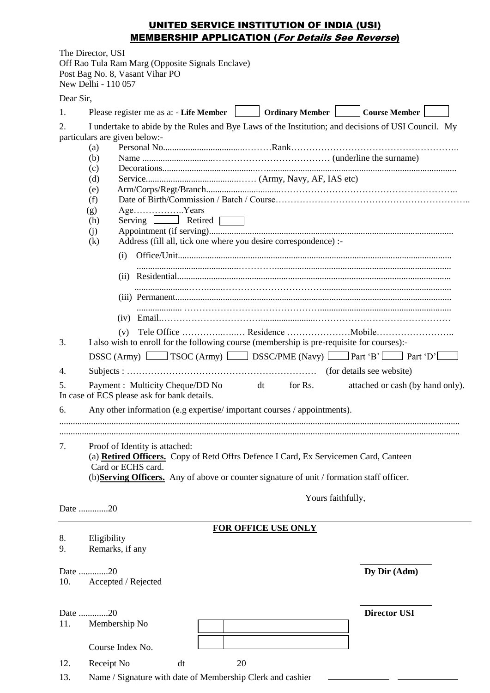# UNITED SERVICE INSTITUTION OF INDIA (USI) MEMBERSHIP APPLICATION (For Details See Reverse)

|           | The Director, USI<br>New Delhi - 110 057                                                                                                                                                                                                   | Off Rao Tula Ram Marg (Opposite Signals Enclave)<br>Post Bag No. 8, Vasant Vihar PO |                                                                                                     |                                  |  |  |  |  |  |  |  |
|-----------|--------------------------------------------------------------------------------------------------------------------------------------------------------------------------------------------------------------------------------------------|-------------------------------------------------------------------------------------|-----------------------------------------------------------------------------------------------------|----------------------------------|--|--|--|--|--|--|--|
| Dear Sir, |                                                                                                                                                                                                                                            |                                                                                     |                                                                                                     |                                  |  |  |  |  |  |  |  |
| 1.        |                                                                                                                                                                                                                                            |                                                                                     |                                                                                                     |                                  |  |  |  |  |  |  |  |
| 2.        |                                                                                                                                                                                                                                            | particulars are given below:-                                                       | I undertake to abide by the Rules and Bye Laws of the Institution; and decisions of USI Council. My |                                  |  |  |  |  |  |  |  |
|           | (a)<br>(b)                                                                                                                                                                                                                                 |                                                                                     |                                                                                                     |                                  |  |  |  |  |  |  |  |
|           | (c)                                                                                                                                                                                                                                        |                                                                                     |                                                                                                     |                                  |  |  |  |  |  |  |  |
|           | (d)                                                                                                                                                                                                                                        |                                                                                     |                                                                                                     |                                  |  |  |  |  |  |  |  |
|           | (e)<br>(f)                                                                                                                                                                                                                                 |                                                                                     |                                                                                                     |                                  |  |  |  |  |  |  |  |
|           | (g)                                                                                                                                                                                                                                        | AgeYears                                                                            |                                                                                                     |                                  |  |  |  |  |  |  |  |
|           | (h)                                                                                                                                                                                                                                        | Serving <u>Luis</u> Retired                                                         |                                                                                                     |                                  |  |  |  |  |  |  |  |
|           | (i)                                                                                                                                                                                                                                        |                                                                                     |                                                                                                     |                                  |  |  |  |  |  |  |  |
|           | (k)                                                                                                                                                                                                                                        | Address (fill all, tick one where you desire correspondence) :-<br>(i)              |                                                                                                     |                                  |  |  |  |  |  |  |  |
|           |                                                                                                                                                                                                                                            |                                                                                     |                                                                                                     |                                  |  |  |  |  |  |  |  |
|           |                                                                                                                                                                                                                                            |                                                                                     |                                                                                                     |                                  |  |  |  |  |  |  |  |
|           |                                                                                                                                                                                                                                            |                                                                                     |                                                                                                     |                                  |  |  |  |  |  |  |  |
|           |                                                                                                                                                                                                                                            |                                                                                     |                                                                                                     |                                  |  |  |  |  |  |  |  |
|           |                                                                                                                                                                                                                                            | (v)                                                                                 |                                                                                                     |                                  |  |  |  |  |  |  |  |
| 3.        |                                                                                                                                                                                                                                            |                                                                                     | I also wish to enroll for the following course (membership is pre-requisite for courses):-          |                                  |  |  |  |  |  |  |  |
|           |                                                                                                                                                                                                                                            |                                                                                     | DSSC (Army) $\Box$ TSOC (Army) $\Box$ DSSC/PME (Navy) $\Box$ Part 'B' $\Box$ Part 'D'               |                                  |  |  |  |  |  |  |  |
| 4.        |                                                                                                                                                                                                                                            |                                                                                     |                                                                                                     |                                  |  |  |  |  |  |  |  |
| 5.        |                                                                                                                                                                                                                                            | Payment : Multicity Cheque/DD No<br>In case of ECS please ask for bank details.     | for Rs.<br>dt                                                                                       | attached or cash (by hand only). |  |  |  |  |  |  |  |
| 6.        |                                                                                                                                                                                                                                            |                                                                                     | Any other information (e.g expertise/important courses / appointments).                             |                                  |  |  |  |  |  |  |  |
|           |                                                                                                                                                                                                                                            |                                                                                     |                                                                                                     |                                  |  |  |  |  |  |  |  |
| 7.        | Proof of Identity is attached:<br>(a) Retired Officers. Copy of Retd Offrs Defence I Card, Ex Servicemen Card, Canteen<br>Card or ECHS card.<br>(b) Serving Officers. Any of above or counter signature of unit / formation staff officer. |                                                                                     |                                                                                                     |                                  |  |  |  |  |  |  |  |
|           |                                                                                                                                                                                                                                            | Yours faithfully,                                                                   |                                                                                                     |                                  |  |  |  |  |  |  |  |
|           | Date 20                                                                                                                                                                                                                                    |                                                                                     |                                                                                                     |                                  |  |  |  |  |  |  |  |
|           |                                                                                                                                                                                                                                            |                                                                                     |                                                                                                     |                                  |  |  |  |  |  |  |  |
| 8.        | Eligibility                                                                                                                                                                                                                                |                                                                                     | <b>FOR OFFICE USE ONLY</b>                                                                          |                                  |  |  |  |  |  |  |  |
| 9.        |                                                                                                                                                                                                                                            | Remarks, if any                                                                     |                                                                                                     |                                  |  |  |  |  |  |  |  |
|           |                                                                                                                                                                                                                                            |                                                                                     |                                                                                                     |                                  |  |  |  |  |  |  |  |
| 10.       | Date 20                                                                                                                                                                                                                                    | Accepted / Rejected                                                                 |                                                                                                     | Dy Dir (Adm)                     |  |  |  |  |  |  |  |
|           |                                                                                                                                                                                                                                            |                                                                                     |                                                                                                     |                                  |  |  |  |  |  |  |  |
|           | Date 20                                                                                                                                                                                                                                    |                                                                                     |                                                                                                     | <b>Director USI</b>              |  |  |  |  |  |  |  |
| 11.       |                                                                                                                                                                                                                                            | Membership No                                                                       |                                                                                                     |                                  |  |  |  |  |  |  |  |
|           |                                                                                                                                                                                                                                            | Course Index No.                                                                    |                                                                                                     |                                  |  |  |  |  |  |  |  |
| 12.       | Receipt No                                                                                                                                                                                                                                 | dt                                                                                  | 20                                                                                                  |                                  |  |  |  |  |  |  |  |
|           |                                                                                                                                                                                                                                            |                                                                                     |                                                                                                     |                                  |  |  |  |  |  |  |  |

13. Name / Signature with date of Membership Clerk and cashier